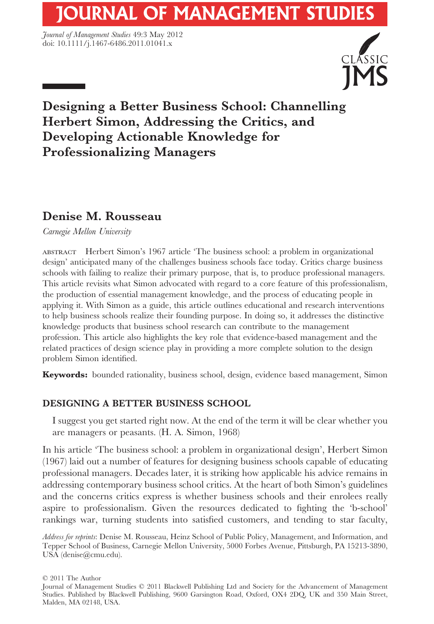# **JOURNAL OF MANAGEMENT STUDIES**

*Journal of Management Studies* 49:3 May 2012 doi: 10.1111/j.1467-6486.2011.01041.x



# **Designing a Better Business School: Channelling Herbert Simon, Addressing the Critics, and Developing Actionable Knowledge for Professionalizing Managers**

# **Denise M. Rousseau**

*Carnegie Mellon University*

abstract Herbert Simon's 1967 article 'The business school: a problem in organizational design' anticipated many of the challenges business schools face today. Critics charge business schools with failing to realize their primary purpose, that is, to produce professional managers. This article revisits what Simon advocated with regard to a core feature of this professionalism, the production of essential management knowledge, and the process of educating people in applying it. With Simon as a guide, this article outlines educational and research interventions to help business schools realize their founding purpose. In doing so, it addresses the distinctive knowledge products that business school research can contribute to the management profession. This article also highlights the key role that evidence-based management and the related practices of design science play in providing a more complete solution to the design problem Simon identified.

**Keywords:** bounded rationality, business school, design, evidence based management, Simon

# **DESIGNING A BETTER BUSINESS SCHOOL**

I suggest you get started right now. At the end of the term it will be clear whether you are managers or peasants. (H. A. Simon, 1968)

In his article 'The business school: a problem in organizational design', Herbert Simon (1967) laid out a number of features for designing business schools capable of educating professional managers. Decades later, it is striking how applicable his advice remains in addressing contemporary business school critics. At the heart of both Simon's guidelines and the concerns critics express is whether business schools and their enrolees really aspire to professionalism. Given the resources dedicated to fighting the 'b-school' rankings war, turning students into satisfied customers, and tending to star faculty,

*Address for reprints*: Denise M. Rousseau, Heinz School of Public Policy, Management, and Information, and Tepper School of Business, Carnegie Mellon University, 5000 Forbes Avenue, Pittsburgh, PA 15213-3890, USA (denise@cmu.edu).

© 2011 The Author

Journal of Management Studies © 2011 Blackwell Publishing Ltd and Society for the Advancement of Management Studies. Published by Blackwell Publishing, 9600 Garsington Road, Oxford, OX4 2DQ, UK and 350 Main Street, Malden, MA 02148, USA.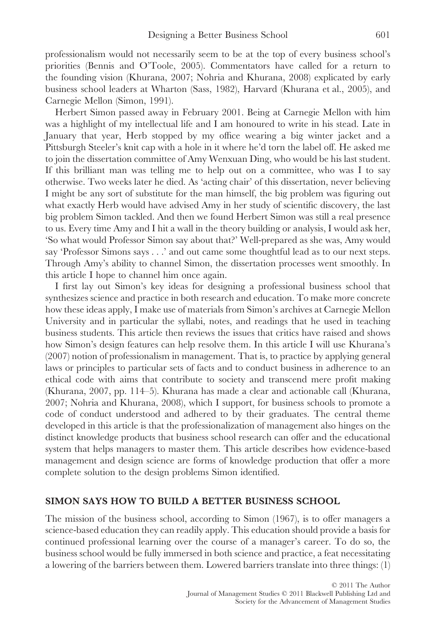professionalism would not necessarily seem to be at the top of every business school's priorities (Bennis and O'Toole, 2005). Commentators have called for a return to the founding vision (Khurana, 2007; Nohria and Khurana, 2008) explicated by early business school leaders at Wharton (Sass, 1982), Harvard (Khurana et al., 2005), and Carnegie Mellon (Simon, 1991).

Herbert Simon passed away in February 2001. Being at Carnegie Mellon with him was a highlight of my intellectual life and I am honoured to write in his stead. Late in January that year, Herb stopped by my office wearing a big winter jacket and a Pittsburgh Steeler's knit cap with a hole in it where he'd torn the label off. He asked me to join the dissertation committee of Amy Wenxuan Ding, who would be his last student. If this brilliant man was telling me to help out on a committee, who was I to say otherwise. Two weeks later he died. As 'acting chair' of this dissertation, never believing I might be any sort of substitute for the man himself, the big problem was figuring out what exactly Herb would have advised Amy in her study of scientific discovery, the last big problem Simon tackled. And then we found Herbert Simon was still a real presence to us. Every time Amy and I hit a wall in the theory building or analysis, I would ask her, 'So what would Professor Simon say about that?' Well-prepared as she was, Amy would say 'Professor Simons says . . .' and out came some thoughtful lead as to our next steps. Through Amy's ability to channel Simon, the dissertation processes went smoothly. In this article I hope to channel him once again.

I first lay out Simon's key ideas for designing a professional business school that synthesizes science and practice in both research and education. To make more concrete how these ideas apply, I make use of materials from Simon's archives at Carnegie Mellon University and in particular the syllabi, notes, and readings that he used in teaching business students. This article then reviews the issues that critics have raised and shows how Simon's design features can help resolve them. In this article I will use Khurana's (2007) notion of professionalism in management. That is, to practice by applying general laws or principles to particular sets of facts and to conduct business in adherence to an ethical code with aims that contribute to society and transcend mere profit making (Khurana, 2007, pp. 114–5). Khurana has made a clear and actionable call (Khurana, 2007; Nohria and Khurana, 2008), which I support, for business schools to promote a code of conduct understood and adhered to by their graduates. The central theme developed in this article is that the professionalization of management also hinges on the distinct knowledge products that business school research can offer and the educational system that helps managers to master them. This article describes how evidence-based management and design science are forms of knowledge production that offer a more complete solution to the design problems Simon identified.

#### **SIMON SAYS HOW TO BUILD A BETTER BUSINESS SCHOOL**

The mission of the business school, according to Simon (1967), is to offer managers a science-based education they can readily apply. This education should provide a basis for continued professional learning over the course of a manager's career. To do so, the business school would be fully immersed in both science and practice, a feat necessitating a lowering of the barriers between them. Lowered barriers translate into three things: (1)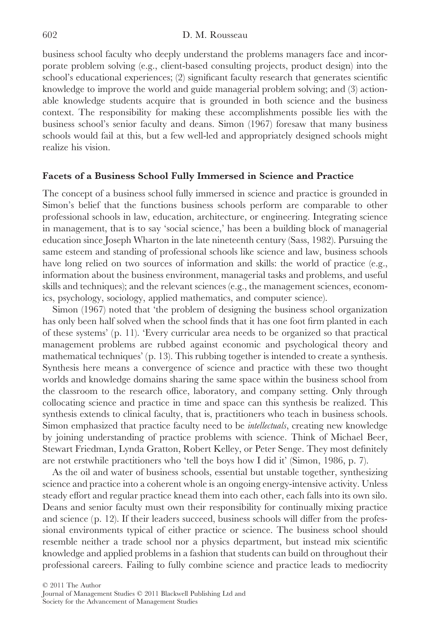business school faculty who deeply understand the problems managers face and incorporate problem solving (e.g., client-based consulting projects, product design) into the school's educational experiences; (2) significant faculty research that generates scientific knowledge to improve the world and guide managerial problem solving; and (3) actionable knowledge students acquire that is grounded in both science and the business context. The responsibility for making these accomplishments possible lies with the business school's senior faculty and deans. Simon (1967) foresaw that many business schools would fail at this, but a few well-led and appropriately designed schools might realize his vision.

#### **Facets of a Business School Fully Immersed in Science and Practice**

The concept of a business school fully immersed in science and practice is grounded in Simon's belief that the functions business schools perform are comparable to other professional schools in law, education, architecture, or engineering. Integrating science in management, that is to say 'social science,' has been a building block of managerial education since Joseph Wharton in the late nineteenth century (Sass, 1982). Pursuing the same esteem and standing of professional schools like science and law, business schools have long relied on two sources of information and skills: the world of practice (e.g., information about the business environment, managerial tasks and problems, and useful skills and techniques); and the relevant sciences (e.g., the management sciences, economics, psychology, sociology, applied mathematics, and computer science).

Simon (1967) noted that 'the problem of designing the business school organization has only been half solved when the school finds that it has one foot firm planted in each of these systems' (p. 11). 'Every curricular area needs to be organized so that practical management problems are rubbed against economic and psychological theory and mathematical techniques' (p. 13). This rubbing together is intended to create a synthesis. Synthesis here means a convergence of science and practice with these two thought worlds and knowledge domains sharing the same space within the business school from the classroom to the research office, laboratory, and company setting. Only through collocating science and practice in time and space can this synthesis be realized. This synthesis extends to clinical faculty, that is, practitioners who teach in business schools. Simon emphasized that practice faculty need to be *intellectuals*, creating new knowledge by joining understanding of practice problems with science. Think of Michael Beer, Stewart Friedman, Lynda Gratton, Robert Kelley, or Peter Senge. They most definitely are not erstwhile practitioners who 'tell the boys how I did it' (Simon, 1986, p. 7).

As the oil and water of business schools, essential but unstable together, synthesizing science and practice into a coherent whole is an ongoing energy-intensive activity. Unless steady effort and regular practice knead them into each other, each falls into its own silo. Deans and senior faculty must own their responsibility for continually mixing practice and science (p. 12). If their leaders succeed, business schools will differ from the professional environments typical of either practice or science. The business school should resemble neither a trade school nor a physics department, but instead mix scientific knowledge and applied problems in a fashion that students can build on throughout their professional careers. Failing to fully combine science and practice leads to mediocrity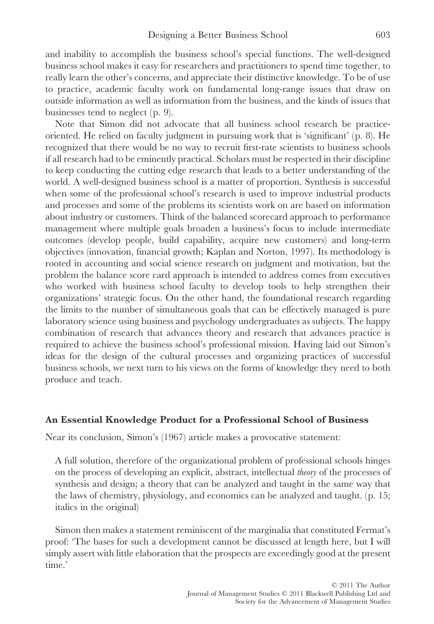and inability to accomplish the business school's special functions. The well-designed business school makes it easy for researchers and practitioners to spend time together, to really learn the other's concerns, and appreciate their distinctive knowledge. To be of use to practice, academic faculty work on fundamental long-range issues that draw on outside information as well as information from the business, and the kinds of issues that businesses tend to neglect (p. 9).

Note that Simon did not advocate that all business school research be practiceoriented. He relied on faculty judgment in pursuing work that is 'significant' (p. 8). He recognized that there would be no way to recruit first-rate scientists to business schools if all research had to be eminently practical. Scholars must be respected in their discipline to keep conducting the cutting edge research that leads to a better understanding of the world. A well-designed business school is a matter of proportion. Synthesis is successful when some of the professional school's research is used to improve industrial products and processes and some of the problems its scientists work on are based on information about industry or customers. Think of the balanced scorecard approach to performance management where multiple goals broaden a business's focus to include intermediate outcomes (develop people, build capability, acquire new customers) and long-term objectives (innovation, financial growth; Kaplan and Norton, 1997). Its methodology is rooted in accounting and social science research on judgment and motivation, but the problem the balance score card approach is intended to address comes from executives who worked with business school faculty to develop tools to help strengthen their organizations' strategic focus. On the other hand, the foundational research regarding the limits to the number of simultaneous goals that can be effectively managed is pure laboratory science using business and psychology undergraduates as subjects. The happy combination of research that advances theory and research that advances practice is required to achieve the business school's professional mission. Having laid out Simon's ideas for the design of the cultural processes and organizing practices of successful business schools, we next turn to his views on the forms of knowledge they need to both produce and teach.

### **An Essential Knowledge Product for a Professional School of Business**

Near its conclusion, Simon's (1967) article makes a provocative statement:

A full solution, therefore of the organizational problem of professional schools hinges on the process of developing an explicit, abstract, intellectual *theory* of the processes of synthesis and design; a theory that can be analyzed and taught in the same way that the laws of chemistry, physiology, and economics can be analyzed and taught. (p. 15; italics in the original)

Simon then makes a statement reminiscent of the marginalia that constituted Fermat's proof: 'The bases for such a development cannot be discussed at length here, but I will simply assert with little elaboration that the prospects are exceedingly good at the present time.'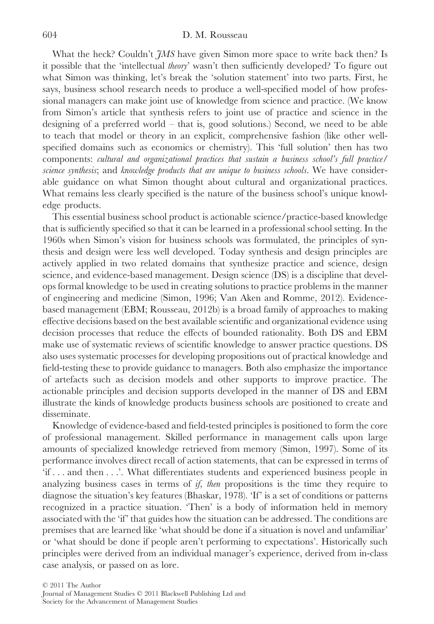What the heck? Couldn't *JMS* have given Simon more space to write back then? Is it possible that the 'intellectual *theory*' wasn't then sufficiently developed? To figure out what Simon was thinking, let's break the 'solution statement' into two parts. First, he says, business school research needs to produce a well-specified model of how professional managers can make joint use of knowledge from science and practice. (We know from Simon's article that synthesis refers to joint use of practice and science in the designing of a preferred world – that is, good solutions.) Second, we need to be able to teach that model or theory in an explicit, comprehensive fashion (like other wellspecified domains such as economics or chemistry). This 'full solution' then has two components: *cultural and organizational practices that sustain a business school's full practice/ science synthesis*; and *knowledge products that are unique to business schools*. We have considerable guidance on what Simon thought about cultural and organizational practices. What remains less clearly specified is the nature of the business school's unique knowledge products.

This essential business school product is actionable science/practice-based knowledge that is sufficiently specified so that it can be learned in a professional school setting. In the 1960s when Simon's vision for business schools was formulated, the principles of synthesis and design were less well developed. Today synthesis and design principles are actively applied in two related domains that synthesize practice and science, design science, and evidence-based management. Design science (DS) is a discipline that develops formal knowledge to be used in creating solutions to practice problems in the manner of engineering and medicine (Simon, 1996; Van Aken and Romme, 2012). Evidencebased management (EBM; Rousseau, 2012b) is a broad family of approaches to making effective decisions based on the best available scientific and organizational evidence using decision processes that reduce the effects of bounded rationality. Both DS and EBM make use of systematic reviews of scientific knowledge to answer practice questions. DS also uses systematic processes for developing propositions out of practical knowledge and field-testing these to provide guidance to managers. Both also emphasize the importance of artefacts such as decision models and other supports to improve practice. The actionable principles and decision supports developed in the manner of DS and EBM illustrate the kinds of knowledge products business schools are positioned to create and disseminate.

Knowledge of evidence-based and field-tested principles is positioned to form the core of professional management. Skilled performance in management calls upon large amounts of specialized knowledge retrieved from memory (Simon, 1997). Some of its performance involves direct recall of action statements, that can be expressed in terms of 'if . . . and then . . .'. What differentiates students and experienced business people in analyzing business cases in terms of *if, then* propositions is the time they require to diagnose the situation's key features (Bhaskar, 1978). 'If' is a set of conditions or patterns recognized in a practice situation. 'Then' is a body of information held in memory associated with the 'if' that guides how the situation can be addressed. The conditions are premises that are learned like 'what should be done if a situation is novel and unfamiliar' or 'what should be done if people aren't performing to expectations'. Historically such principles were derived from an individual manager's experience, derived from in-class case analysis, or passed on as lore.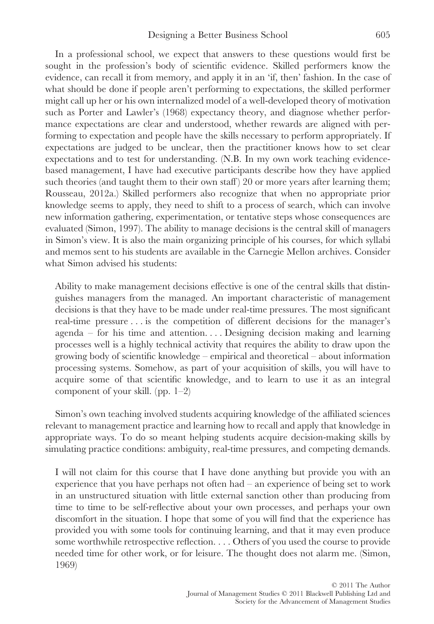In a professional school, we expect that answers to these questions would first be sought in the profession's body of scientific evidence. Skilled performers know the evidence, can recall it from memory, and apply it in an 'if, then' fashion. In the case of what should be done if people aren't performing to expectations, the skilled performer might call up her or his own internalized model of a well-developed theory of motivation such as Porter and Lawler's (1968) expectancy theory, and diagnose whether performance expectations are clear and understood, whether rewards are aligned with performing to expectation and people have the skills necessary to perform appropriately. If expectations are judged to be unclear, then the practitioner knows how to set clear expectations and to test for understanding. (N.B. In my own work teaching evidencebased management, I have had executive participants describe how they have applied such theories (and taught them to their own staff) 20 or more years after learning them; Rousseau, 2012a.) Skilled performers also recognize that when no appropriate prior knowledge seems to apply, they need to shift to a process of search, which can involve new information gathering, experimentation, or tentative steps whose consequences are evaluated (Simon, 1997). The ability to manage decisions is the central skill of managers in Simon's view. It is also the main organizing principle of his courses, for which syllabi and memos sent to his students are available in the Carnegie Mellon archives. Consider what Simon advised his students:

Ability to make management decisions effective is one of the central skills that distinguishes managers from the managed. An important characteristic of management decisions is that they have to be made under real-time pressures. The most significant real-time pressure . . . is the competition of different decisions for the manager's agenda – for his time and attention.... Designing decision making and learning processes well is a highly technical activity that requires the ability to draw upon the growing body of scientific knowledge – empirical and theoretical – about information processing systems. Somehow, as part of your acquisition of skills, you will have to acquire some of that scientific knowledge, and to learn to use it as an integral component of your skill. (pp. 1–2)

Simon's own teaching involved students acquiring knowledge of the affiliated sciences relevant to management practice and learning how to recall and apply that knowledge in appropriate ways. To do so meant helping students acquire decision-making skills by simulating practice conditions: ambiguity, real-time pressures, and competing demands.

I will not claim for this course that I have done anything but provide you with an experience that you have perhaps not often had – an experience of being set to work in an unstructured situation with little external sanction other than producing from time to time to be self-reflective about your own processes, and perhaps your own discomfort in the situation. I hope that some of you will find that the experience has provided you with some tools for continuing learning, and that it may even produce some worthwhile retrospective reflection.... Others of you used the course to provide needed time for other work, or for leisure. The thought does not alarm me. (Simon, 1969)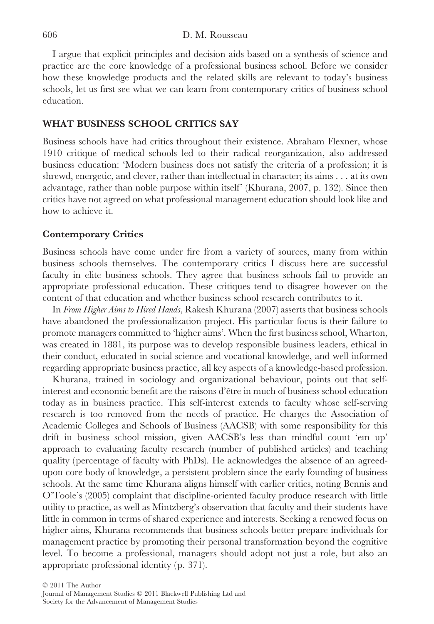I argue that explicit principles and decision aids based on a synthesis of science and practice are the core knowledge of a professional business school. Before we consider how these knowledge products and the related skills are relevant to today's business schools, let us first see what we can learn from contemporary critics of business school education.

#### **WHAT BUSINESS SCHOOL CRITICS SAY**

Business schools have had critics throughout their existence. Abraham Flexner, whose 1910 critique of medical schools led to their radical reorganization, also addressed business education: 'Modern business does not satisfy the criteria of a profession; it is shrewd, energetic, and clever, rather than intellectual in character; its aims . . . at its own advantage, rather than noble purpose within itself' (Khurana, 2007, p. 132). Since then critics have not agreed on what professional management education should look like and how to achieve it.

#### **Contemporary Critics**

Business schools have come under fire from a variety of sources, many from within business schools themselves. The contemporary critics I discuss here are successful faculty in elite business schools. They agree that business schools fail to provide an appropriate professional education. These critiques tend to disagree however on the content of that education and whether business school research contributes to it.

In *From Higher Aims to Hired Hands*, Rakesh Khurana (2007) asserts that business schools have abandoned the professionalization project. His particular focus is their failure to promote managers committed to 'higher aims'. When the first business school, Wharton, was created in 1881, its purpose was to develop responsible business leaders, ethical in their conduct, educated in social science and vocational knowledge, and well informed regarding appropriate business practice, all key aspects of a knowledge-based profession.

Khurana, trained in sociology and organizational behaviour, points out that selfinterest and economic benefit are the raisons d'être in much of business school education today as in business practice. This self-interest extends to faculty whose self-serving research is too removed from the needs of practice. He charges the Association of Academic Colleges and Schools of Business (AACSB) with some responsibility for this drift in business school mission, given AACSB's less than mindful count 'em up' approach to evaluating faculty research (number of published articles) and teaching quality (percentage of faculty with PhDs). He acknowledges the absence of an agreedupon core body of knowledge, a persistent problem since the early founding of business schools. At the same time Khurana aligns himself with earlier critics, noting Bennis and O'Toole's (2005) complaint that discipline-oriented faculty produce research with little utility to practice, as well as Mintzberg's observation that faculty and their students have little in common in terms of shared experience and interests. Seeking a renewed focus on higher aims, Khurana recommends that business schools better prepare individuals for management practice by promoting their personal transformation beyond the cognitive level. To become a professional, managers should adopt not just a role, but also an appropriate professional identity (p. 371).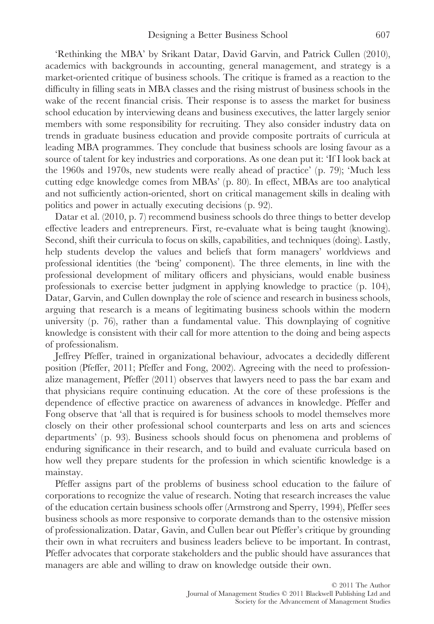'Rethinking the MBA' by Srikant Datar, David Garvin, and Patrick Cullen (2010), academics with backgrounds in accounting, general management, and strategy is a market-oriented critique of business schools. The critique is framed as a reaction to the difficulty in filling seats in MBA classes and the rising mistrust of business schools in the wake of the recent financial crisis. Their response is to assess the market for business school education by interviewing deans and business executives, the latter largely senior members with some responsibility for recruiting. They also consider industry data on trends in graduate business education and provide composite portraits of curricula at leading MBA programmes. They conclude that business schools are losing favour as a source of talent for key industries and corporations. As one dean put it: 'If I look back at the 1960s and 1970s, new students were really ahead of practice' (p. 79); 'Much less cutting edge knowledge comes from MBAs' (p. 80). In effect, MBAs are too analytical and not sufficiently action-oriented, short on critical management skills in dealing with politics and power in actually executing decisions (p. 92).

Datar et al. (2010, p. 7) recommend business schools do three things to better develop effective leaders and entrepreneurs. First, re-evaluate what is being taught (knowing). Second, shift their curricula to focus on skills, capabilities, and techniques (doing). Lastly, help students develop the values and beliefs that form managers' worldviews and professional identities (the 'being' component). The three elements, in line with the professional development of military officers and physicians, would enable business professionals to exercise better judgment in applying knowledge to practice (p. 104), Datar, Garvin, and Cullen downplay the role of science and research in business schools, arguing that research is a means of legitimating business schools within the modern university (p. 76), rather than a fundamental value. This downplaying of cognitive knowledge is consistent with their call for more attention to the doing and being aspects of professionalism.

Jeffrey Pfeffer, trained in organizational behaviour, advocates a decidedly different position (Pfeffer, 2011; Pfeffer and Fong, 2002). Agreeing with the need to professionalize management, Pfeffer (2011) observes that lawyers need to pass the bar exam and that physicians require continuing education. At the core of these professions is the dependence of effective practice on awareness of advances in knowledge. Pfeffer and Fong observe that 'all that is required is for business schools to model themselves more closely on their other professional school counterparts and less on arts and sciences departments' (p. 93). Business schools should focus on phenomena and problems of enduring significance in their research, and to build and evaluate curricula based on how well they prepare students for the profession in which scientific knowledge is a mainstay.

Pfeffer assigns part of the problems of business school education to the failure of corporations to recognize the value of research. Noting that research increases the value of the education certain business schools offer (Armstrong and Sperry, 1994), Pfeffer sees business schools as more responsive to corporate demands than to the ostensive mission of professionalization. Datar, Gavin, and Cullen bear out Pfeffer's critique by grounding their own in what recruiters and business leaders believe to be important. In contrast, Pfeffer advocates that corporate stakeholders and the public should have assurances that managers are able and willing to draw on knowledge outside their own.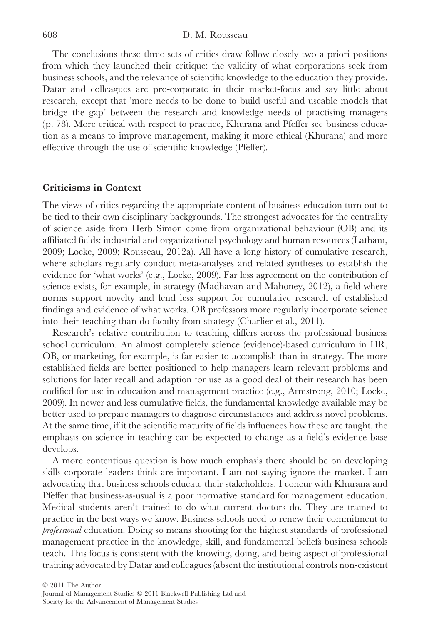The conclusions these three sets of critics draw follow closely two a priori positions from which they launched their critique: the validity of what corporations seek from business schools, and the relevance of scientific knowledge to the education they provide. Datar and colleagues are pro-corporate in their market-focus and say little about research, except that 'more needs to be done to build useful and useable models that bridge the gap' between the research and knowledge needs of practising managers (p. 78). More critical with respect to practice, Khurana and Pfeffer see business education as a means to improve management, making it more ethical (Khurana) and more effective through the use of scientific knowledge (Pfeffer).

#### **Criticisms in Context**

The views of critics regarding the appropriate content of business education turn out to be tied to their own disciplinary backgrounds. The strongest advocates for the centrality of science aside from Herb Simon come from organizational behaviour (OB) and its affiliated fields: industrial and organizational psychology and human resources (Latham, 2009; Locke, 2009; Rousseau, 2012a). All have a long history of cumulative research, where scholars regularly conduct meta-analyses and related syntheses to establish the evidence for 'what works' (e.g., Locke, 2009). Far less agreement on the contribution of science exists, for example, in strategy (Madhavan and Mahoney, 2012), a field where norms support novelty and lend less support for cumulative research of established findings and evidence of what works. OB professors more regularly incorporate science into their teaching than do faculty from strategy (Charlier et al., 2011).

Research's relative contribution to teaching differs across the professional business school curriculum. An almost completely science (evidence)-based curriculum in HR, OB, or marketing, for example, is far easier to accomplish than in strategy. The more established fields are better positioned to help managers learn relevant problems and solutions for later recall and adaption for use as a good deal of their research has been codified for use in education and management practice (e.g., Armstrong, 2010; Locke, 2009). In newer and less cumulative fields, the fundamental knowledge available may be better used to prepare managers to diagnose circumstances and address novel problems. At the same time, if it the scientific maturity of fields influences how these are taught, the emphasis on science in teaching can be expected to change as a field's evidence base develops.

A more contentious question is how much emphasis there should be on developing skills corporate leaders think are important. I am not saying ignore the market. I am advocating that business schools educate their stakeholders. I concur with Khurana and Pfeffer that business-as-usual is a poor normative standard for management education. Medical students aren't trained to do what current doctors do. They are trained to practice in the best ways we know. Business schools need to renew their commitment to *professional* education. Doing so means shooting for the highest standards of professional management practice in the knowledge, skill, and fundamental beliefs business schools teach. This focus is consistent with the knowing, doing, and being aspect of professional training advocated by Datar and colleagues (absent the institutional controls non-existent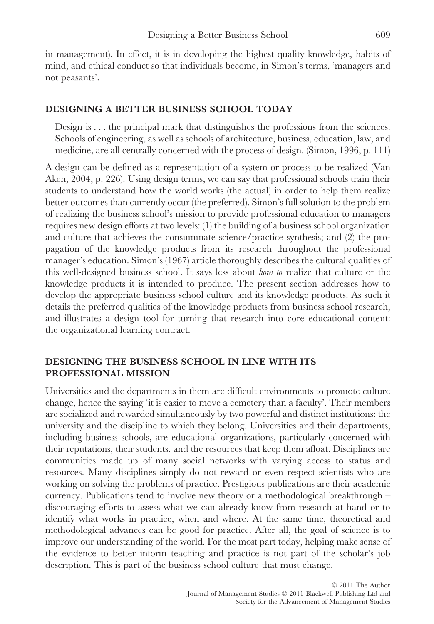in management). In effect, it is in developing the highest quality knowledge, habits of mind, and ethical conduct so that individuals become, in Simon's terms, 'managers and not peasants'.

### **DESIGNING A BETTER BUSINESS SCHOOL TODAY**

Design is . . . the principal mark that distinguishes the professions from the sciences. Schools of engineering, as well as schools of architecture, business, education, law, and medicine, are all centrally concerned with the process of design. (Simon, 1996, p. 111)

A design can be defined as a representation of a system or process to be realized (Van Aken, 2004, p. 226). Using design terms, we can say that professional schools train their students to understand how the world works (the actual) in order to help them realize better outcomes than currently occur (the preferred). Simon's full solution to the problem of realizing the business school's mission to provide professional education to managers requires new design efforts at two levels: (1) the building of a business school organization and culture that achieves the consummate science/practice synthesis; and (2) the propagation of the knowledge products from its research throughout the professional manager's education. Simon's (1967) article thoroughly describes the cultural qualities of this well-designed business school. It says less about *how to* realize that culture or the knowledge products it is intended to produce. The present section addresses how to develop the appropriate business school culture and its knowledge products. As such it details the preferred qualities of the knowledge products from business school research, and illustrates a design tool for turning that research into core educational content: the organizational learning contract.

## **DESIGNING THE BUSINESS SCHOOL IN LINE WITH ITS PROFESSIONAL MISSION**

Universities and the departments in them are difficult environments to promote culture change, hence the saying 'it is easier to move a cemetery than a faculty'. Their members are socialized and rewarded simultaneously by two powerful and distinct institutions: the university and the discipline to which they belong. Universities and their departments, including business schools, are educational organizations, particularly concerned with their reputations, their students, and the resources that keep them afloat. Disciplines are communities made up of many social networks with varying access to status and resources. Many disciplines simply do not reward or even respect scientists who are working on solving the problems of practice. Prestigious publications are their academic currency. Publications tend to involve new theory or a methodological breakthrough – discouraging efforts to assess what we can already know from research at hand or to identify what works in practice, when and where. At the same time, theoretical and methodological advances can be good for practice. After all, the goal of science is to improve our understanding of the world. For the most part today, helping make sense of the evidence to better inform teaching and practice is not part of the scholar's job description. This is part of the business school culture that must change.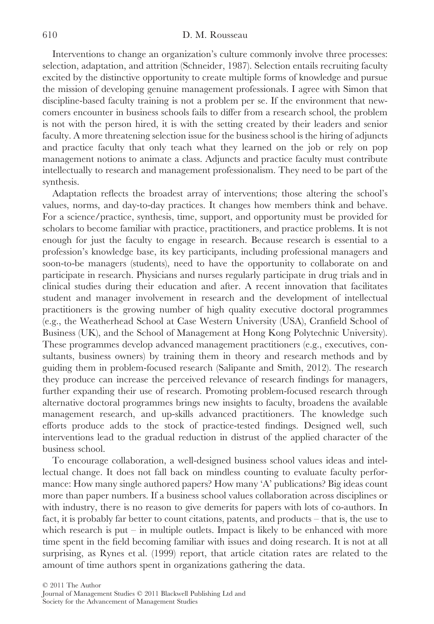Interventions to change an organization's culture commonly involve three processes: selection, adaptation, and attrition (Schneider, 1987). Selection entails recruiting faculty excited by the distinctive opportunity to create multiple forms of knowledge and pursue the mission of developing genuine management professionals. I agree with Simon that discipline-based faculty training is not a problem per se. If the environment that newcomers encounter in business schools fails to differ from a research school, the problem is not with the person hired, it is with the setting created by their leaders and senior faculty. A more threatening selection issue for the business school is the hiring of adjuncts and practice faculty that only teach what they learned on the job or rely on pop management notions to animate a class. Adjuncts and practice faculty must contribute intellectually to research and management professionalism. They need to be part of the synthesis.

Adaptation reflects the broadest array of interventions; those altering the school's values, norms, and day-to-day practices. It changes how members think and behave. For a science/practice, synthesis, time, support, and opportunity must be provided for scholars to become familiar with practice, practitioners, and practice problems. It is not enough for just the faculty to engage in research. Because research is essential to a profession's knowledge base, its key participants, including professional managers and soon-to-be managers (students), need to have the opportunity to collaborate on and participate in research. Physicians and nurses regularly participate in drug trials and in clinical studies during their education and after. A recent innovation that facilitates student and manager involvement in research and the development of intellectual practitioners is the growing number of high quality executive doctoral programmes (e.g., the Weatherhead School at Case Western University (USA), Cranfield School of Business (UK), and the School of Management at Hong Kong Polytechnic University). These programmes develop advanced management practitioners (e.g., executives, consultants, business owners) by training them in theory and research methods and by guiding them in problem-focused research (Salipante and Smith, 2012). The research they produce can increase the perceived relevance of research findings for managers, further expanding their use of research. Promoting problem-focused research through alternative doctoral programmes brings new insights to faculty, broadens the available management research, and up-skills advanced practitioners. The knowledge such efforts produce adds to the stock of practice-tested findings. Designed well, such interventions lead to the gradual reduction in distrust of the applied character of the business school.

To encourage collaboration, a well-designed business school values ideas and intellectual change. It does not fall back on mindless counting to evaluate faculty performance: How many single authored papers? How many 'A' publications? Big ideas count more than paper numbers. If a business school values collaboration across disciplines or with industry, there is no reason to give demerits for papers with lots of co-authors. In fact, it is probably far better to count citations, patents, and products – that is, the use to which research is put – in multiple outlets. Impact is likely to be enhanced with more time spent in the field becoming familiar with issues and doing research. It is not at all surprising, as Rynes et al. (1999) report, that article citation rates are related to the amount of time authors spent in organizations gathering the data.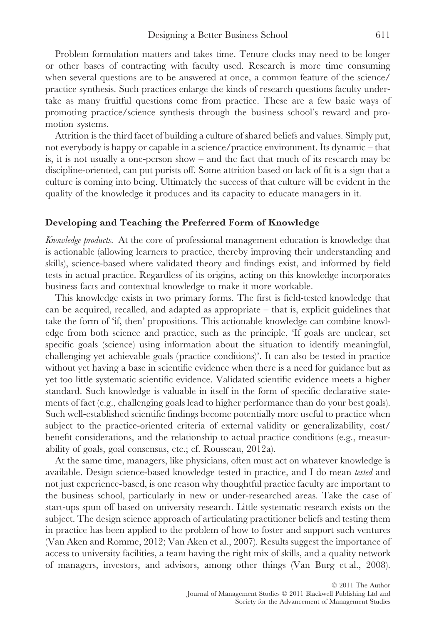Problem formulation matters and takes time. Tenure clocks may need to be longer or other bases of contracting with faculty used. Research is more time consuming when several questions are to be answered at once, a common feature of the science/ practice synthesis. Such practices enlarge the kinds of research questions faculty undertake as many fruitful questions come from practice. These are a few basic ways of promoting practice/science synthesis through the business school's reward and promotion systems.

Attrition is the third facet of building a culture of shared beliefs and values. Simply put, not everybody is happy or capable in a science/practice environment. Its dynamic – that is, it is not usually a one-person show – and the fact that much of its research may be discipline-oriented, can put purists off. Some attrition based on lack of fit is a sign that a culture is coming into being. Ultimately the success of that culture will be evident in the quality of the knowledge it produces and its capacity to educate managers in it.

#### **Developing and Teaching the Preferred Form of Knowledge**

*Knowledge products.* At the core of professional management education is knowledge that is actionable (allowing learners to practice, thereby improving their understanding and skills), science-based where validated theory and findings exist, and informed by field tests in actual practice. Regardless of its origins, acting on this knowledge incorporates business facts and contextual knowledge to make it more workable.

This knowledge exists in two primary forms. The first is field-tested knowledge that can be acquired, recalled, and adapted as appropriate – that is, explicit guidelines that take the form of 'if, then' propositions. This actionable knowledge can combine knowledge from both science and practice, such as the principle, 'If goals are unclear, set specific goals (science) using information about the situation to identify meaningful, challenging yet achievable goals (practice conditions)'. It can also be tested in practice without yet having a base in scientific evidence when there is a need for guidance but as yet too little systematic scientific evidence. Validated scientific evidence meets a higher standard. Such knowledge is valuable in itself in the form of specific declarative statements of fact (e.g., challenging goals lead to higher performance than do your best goals). Such well-established scientific findings become potentially more useful to practice when subject to the practice-oriented criteria of external validity or generalizability, cost/ benefit considerations, and the relationship to actual practice conditions (e.g., measurability of goals, goal consensus, etc.; cf. Rousseau, 2012a).

At the same time, managers, like physicians, often must act on whatever knowledge is available. Design science-based knowledge tested in practice, and I do mean *tested* and not just experience-based, is one reason why thoughtful practice faculty are important to the business school, particularly in new or under-researched areas. Take the case of start-ups spun off based on university research. Little systematic research exists on the subject. The design science approach of articulating practitioner beliefs and testing them in practice has been applied to the problem of how to foster and support such ventures (Van Aken and Romme, 2012; Van Aken et al., 2007). Results suggest the importance of access to university facilities, a team having the right mix of skills, and a quality network of managers, investors, and advisors, among other things (Van Burg et al., 2008).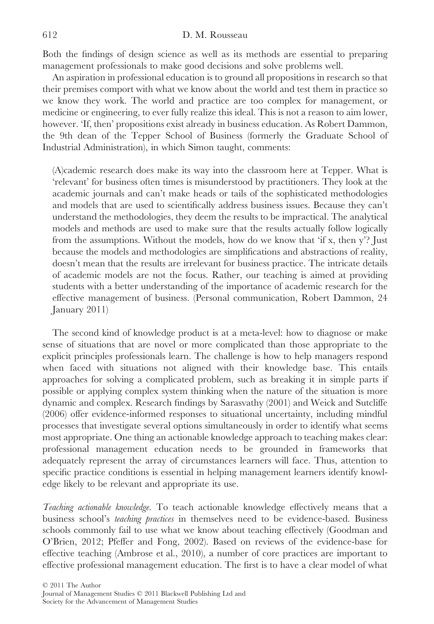Both the findings of design science as well as its methods are essential to preparing management professionals to make good decisions and solve problems well.

An aspiration in professional education is to ground all propositions in research so that their premises comport with what we know about the world and test them in practice so we know they work. The world and practice are too complex for management, or medicine or engineering, to ever fully realize this ideal. This is not a reason to aim lower, however. 'If, then' propositions exist already in business education. As Robert Dammon, the 9th dean of the Tepper School of Business (formerly the Graduate School of Industrial Administration), in which Simon taught, comments:

(A)cademic research does make its way into the classroom here at Tepper. What is 'relevant' for business often times is misunderstood by practitioners. They look at the academic journals and can't make heads or tails of the sophisticated methodologies and models that are used to scientifically address business issues. Because they can't understand the methodologies, they deem the results to be impractical. The analytical models and methods are used to make sure that the results actually follow logically from the assumptions. Without the models, how do we know that 'if x, then y'? Just because the models and methodologies are simplifications and abstractions of reality, doesn't mean that the results are irrelevant for business practice. The intricate details of academic models are not the focus. Rather, our teaching is aimed at providing students with a better understanding of the importance of academic research for the effective management of business. (Personal communication, Robert Dammon, 24 January 2011)

The second kind of knowledge product is at a meta-level: how to diagnose or make sense of situations that are novel or more complicated than those appropriate to the explicit principles professionals learn. The challenge is how to help managers respond when faced with situations not aligned with their knowledge base. This entails approaches for solving a complicated problem, such as breaking it in simple parts if possible or applying complex system thinking when the nature of the situation is more dynamic and complex. Research findings by Sarasvathy (2001) and Weick and Sutcliffe (2006) offer evidence-informed responses to situational uncertainty, including mindful processes that investigate several options simultaneously in order to identify what seems most appropriate. One thing an actionable knowledge approach to teaching makes clear: professional management education needs to be grounded in frameworks that adequately represent the array of circumstances learners will face. Thus, attention to specific practice conditions is essential in helping management learners identify knowledge likely to be relevant and appropriate its use.

*Teaching actionable knowledge.* To teach actionable knowledge effectively means that a business school's *teaching practices* in themselves need to be evidence-based. Business schools commonly fail to use what we know about teaching effectively (Goodman and O'Brien, 2012; Pfeffer and Fong, 2002). Based on reviews of the evidence-base for effective teaching (Ambrose et al., 2010), a number of core practices are important to effective professional management education. The first is to have a clear model of what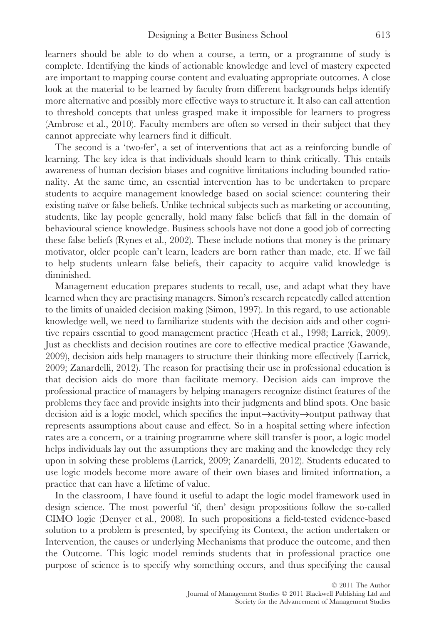learners should be able to do when a course, a term, or a programme of study is complete. Identifying the kinds of actionable knowledge and level of mastery expected are important to mapping course content and evaluating appropriate outcomes. A close look at the material to be learned by faculty from different backgrounds helps identify more alternative and possibly more effective ways to structure it. It also can call attention to threshold concepts that unless grasped make it impossible for learners to progress (Ambrose et al., 2010). Faculty members are often so versed in their subject that they cannot appreciate why learners find it difficult.

The second is a 'two-fer', a set of interventions that act as a reinforcing bundle of learning. The key idea is that individuals should learn to think critically. This entails awareness of human decision biases and cognitive limitations including bounded rationality. At the same time, an essential intervention has to be undertaken to prepare students to acquire management knowledge based on social science: countering their existing naïve or false beliefs. Unlike technical subjects such as marketing or accounting, students, like lay people generally, hold many false beliefs that fall in the domain of behavioural science knowledge. Business schools have not done a good job of correcting these false beliefs (Rynes et al., 2002). These include notions that money is the primary motivator, older people can't learn, leaders are born rather than made, etc. If we fail to help students unlearn false beliefs, their capacity to acquire valid knowledge is diminished.

Management education prepares students to recall, use, and adapt what they have learned when they are practising managers. Simon's research repeatedly called attention to the limits of unaided decision making (Simon, 1997). In this regard, to use actionable knowledge well, we need to familiarize students with the decision aids and other cognitive repairs essential to good management practice (Heath et al., 1998; Larrick, 2009). Just as checklists and decision routines are core to effective medical practice (Gawande, 2009), decision aids help managers to structure their thinking more effectively (Larrick, 2009; Zanardelli, 2012). The reason for practising their use in professional education is that decision aids do more than facilitate memory. Decision aids can improve the professional practice of managers by helping managers recognize distinct features of the problems they face and provide insights into their judgments and blind spots. One basic decision aid is a logic model, which specifies the input→activity→output pathway that represents assumptions about cause and effect. So in a hospital setting where infection rates are a concern, or a training programme where skill transfer is poor, a logic model helps individuals lay out the assumptions they are making and the knowledge they rely upon in solving these problems (Larrick, 2009; Zanardelli, 2012). Students educated to use logic models become more aware of their own biases and limited information, a practice that can have a lifetime of value.

In the classroom, I have found it useful to adapt the logic model framework used in design science. The most powerful 'if, then' design propositions follow the so-called CIMO logic (Denyer et al., 2008). In such propositions a field-tested evidence-based solution to a problem is presented, by specifying its Context, the action undertaken or Intervention, the causes or underlying Mechanisms that produce the outcome, and then the Outcome. This logic model reminds students that in professional practice one purpose of science is to specify why something occurs, and thus specifying the causal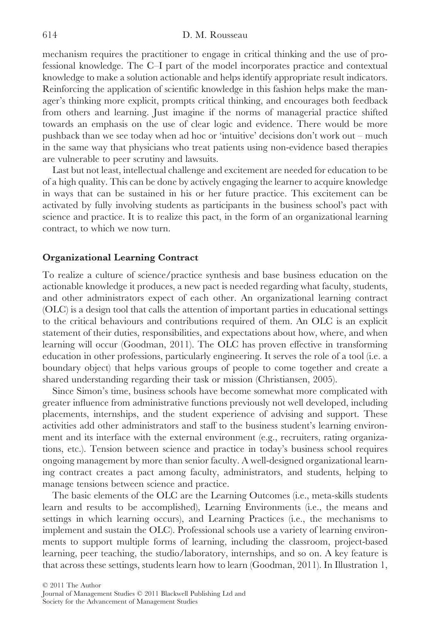mechanism requires the practitioner to engage in critical thinking and the use of professional knowledge. The C–I part of the model incorporates practice and contextual knowledge to make a solution actionable and helps identify appropriate result indicators. Reinforcing the application of scientific knowledge in this fashion helps make the manager's thinking more explicit, prompts critical thinking, and encourages both feedback from others and learning. Just imagine if the norms of managerial practice shifted towards an emphasis on the use of clear logic and evidence. There would be more pushback than we see today when ad hoc or 'intuitive' decisions don't work out – much in the same way that physicians who treat patients using non-evidence based therapies are vulnerable to peer scrutiny and lawsuits.

Last but not least, intellectual challenge and excitement are needed for education to be of a high quality. This can be done by actively engaging the learner to acquire knowledge in ways that can be sustained in his or her future practice. This excitement can be activated by fully involving students as participants in the business school's pact with science and practice. It is to realize this pact, in the form of an organizational learning contract, to which we now turn.

#### **Organizational Learning Contract**

To realize a culture of science/practice synthesis and base business education on the actionable knowledge it produces, a new pact is needed regarding what faculty, students, and other administrators expect of each other. An organizational learning contract (OLC) is a design tool that calls the attention of important parties in educational settings to the critical behaviours and contributions required of them. An OLC is an explicit statement of their duties, responsibilities, and expectations about how, where, and when learning will occur (Goodman, 2011). The OLC has proven effective in transforming education in other professions, particularly engineering. It serves the role of a tool (i.e. a boundary object) that helps various groups of people to come together and create a shared understanding regarding their task or mission (Christiansen, 2005).

Since Simon's time, business schools have become somewhat more complicated with greater influence from administrative functions previously not well developed, including placements, internships, and the student experience of advising and support. These activities add other administrators and staff to the business student's learning environment and its interface with the external environment (e.g., recruiters, rating organizations, etc.). Tension between science and practice in today's business school requires ongoing management by more than senior faculty. A well-designed organizational learning contract creates a pact among faculty, administrators, and students, helping to manage tensions between science and practice.

The basic elements of the OLC are the Learning Outcomes (i.e., meta-skills students learn and results to be accomplished), Learning Environments (i.e., the means and settings in which learning occurs), and Learning Practices (i.e., the mechanisms to implement and sustain the OLC). Professional schools use a variety of learning environments to support multiple forms of learning, including the classroom, project-based learning, peer teaching, the studio/laboratory, internships, and so on. A key feature is that across these settings, students learn how to learn (Goodman, 2011). In Illustration 1,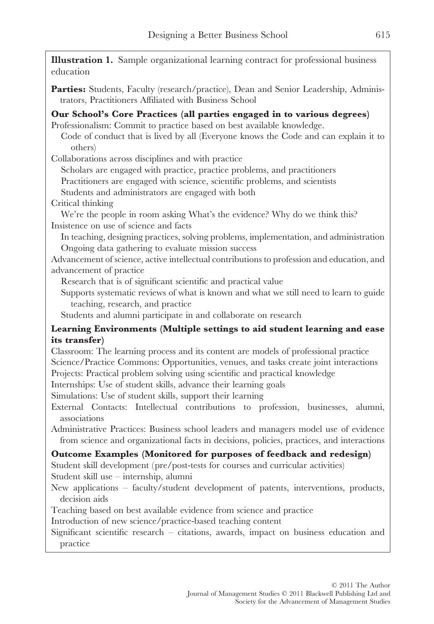**Illustration 1.** Sample organizational learning contract for professional business education

**Parties:** Students, Faculty (research/practice), Dean and Senior Leadership, Administrators, Practitioners Affiliated with Business School

**Our School's Core Practices (all parties engaged in to various degrees)**

Professionalism: Commit to practice based on best available knowledge.

Code of conduct that is lived by all (Everyone knows the Code and can explain it to others)

Collaborations across disciplines and with practice

Scholars are engaged with practice, practice problems, and practitioners Practitioners are engaged with science, scientific problems, and scientists

Students and administrators are engaged with both

Critical thinking

We're the people in room asking What's the evidence? Why do we think this? Insistence on use of science and facts

In teaching, designing practices, solving problems, implementation, and administration Ongoing data gathering to evaluate mission success

Advancement of science, active intellectual contributions to profession and education, and advancement of practice

Research that is of significant scientific and practical value

Supports systematic reviews of what is known and what we still need to learn to guide teaching, research, and practice

Students and alumni participate in and collaborate on research

# **Learning Environments (Multiple settings to aid student learning and ease its transfer)**

Classroom: The learning process and its content are models of professional practice Science/Practice Commons: Opportunities, venues, and tasks create joint interactions Projects: Practical problem solving using scientific and practical knowledge

Internships: Use of student skills, advance their learning goals

Simulations: Use of student skills, support their learning

External Contacts: Intellectual contributions to profession, businesses, alumni, associations

Administrative Practices: Business school leaders and managers model use of evidence from science and organizational facts in decisions, policies, practices, and interactions

**Outcome Examples (Monitored for purposes of feedback and redesign)**

Student skill development (pre/post-tests for courses and curricular activities) Student skill use – internship, alumni

New applications – faculty/student development of patents, interventions, products, decision aids

Teaching based on best available evidence from science and practice

Introduction of new science/practice-based teaching content

Significant scientific research – citations, awards, impact on business education and practice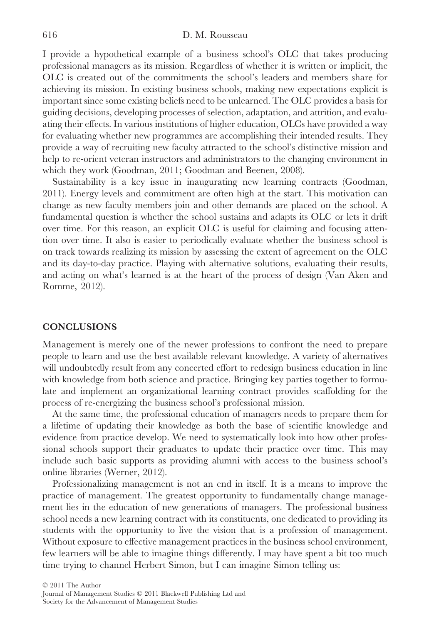I provide a hypothetical example of a business school's OLC that takes producing professional managers as its mission. Regardless of whether it is written or implicit, the OLC is created out of the commitments the school's leaders and members share for achieving its mission. In existing business schools, making new expectations explicit is important since some existing beliefs need to be unlearned. The OLC provides a basis for guiding decisions, developing processes of selection, adaptation, and attrition, and evaluating their effects. In various institutions of higher education, OLCs have provided a way for evaluating whether new programmes are accomplishing their intended results. They provide a way of recruiting new faculty attracted to the school's distinctive mission and help to re-orient veteran instructors and administrators to the changing environment in which they work (Goodman, 2011; Goodman and Beenen, 2008).

Sustainability is a key issue in inaugurating new learning contracts (Goodman, 2011). Energy levels and commitment are often high at the start. This motivation can change as new faculty members join and other demands are placed on the school. A fundamental question is whether the school sustains and adapts its OLC or lets it drift over time. For this reason, an explicit OLC is useful for claiming and focusing attention over time. It also is easier to periodically evaluate whether the business school is on track towards realizing its mission by assessing the extent of agreement on the OLC and its day-to-day practice. Playing with alternative solutions, evaluating their results, and acting on what's learned is at the heart of the process of design (Van Aken and Romme, 2012).

#### **CONCLUSIONS**

Management is merely one of the newer professions to confront the need to prepare people to learn and use the best available relevant knowledge. A variety of alternatives will undoubtedly result from any concerted effort to redesign business education in line with knowledge from both science and practice. Bringing key parties together to formulate and implement an organizational learning contract provides scaffolding for the process of re-energizing the business school's professional mission.

At the same time, the professional education of managers needs to prepare them for a lifetime of updating their knowledge as both the base of scientific knowledge and evidence from practice develop. We need to systematically look into how other professional schools support their graduates to update their practice over time. This may include such basic supports as providing alumni with access to the business school's online libraries (Werner, 2012).

Professionalizing management is not an end in itself. It is a means to improve the practice of management. The greatest opportunity to fundamentally change management lies in the education of new generations of managers. The professional business school needs a new learning contract with its constituents, one dedicated to providing its students with the opportunity to live the vision that is a profession of management. Without exposure to effective management practices in the business school environment, few learners will be able to imagine things differently. I may have spent a bit too much time trying to channel Herbert Simon, but I can imagine Simon telling us: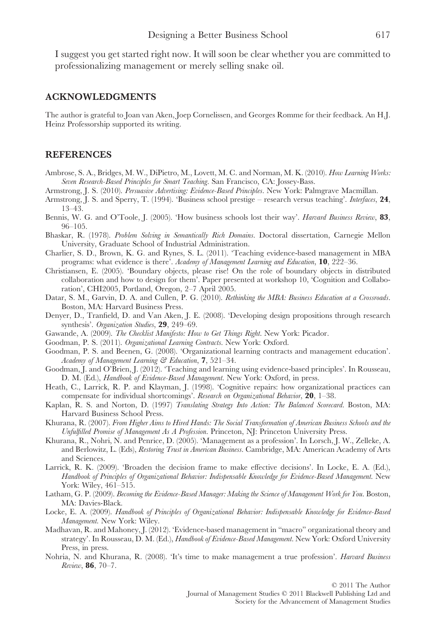I suggest you get started right now. It will soon be clear whether you are committed to professionalizing management or merely selling snake oil.

#### **ACKNOWLEDGMENTS**

The author is grateful to Joan van Aken, Joep Cornelissen, and Georges Romme for their feedback. An H.J. Heinz Professorship supported its writing.

#### **REFERENCES**

- Ambrose, S. A., Bridges, M. W., DiPietro, M., Lovett, M. C. and Norman, M. K. (2010). *How Learning Works: Seven Research-Based Principles for Smart Teaching*. San Francisco, CA: Jossey-Bass.
- Armstrong, J. S. (2010). *Persuasive Advertising: Evidence-Based Principles*. New York: Palmgrave Macmillan.
- Armstrong, J. S. and Sperry, T. (1994). 'Business school prestige research versus teaching'. *Interfaces*, **24**, 13–43.
- Bennis, W. G. and O'Toole, J. (2005). 'How business schools lost their way'. *Harvard Business Review*, **83**, 96–105.
- Bhaskar, R. (1978). *Problem Solving in Semantically Rich Domains*. Doctoral dissertation, Carnegie Mellon University, Graduate School of Industrial Administration.
- Charlier, S. D., Brown, K. G. and Rynes, S. L. (2011). 'Teaching evidence-based management in MBA programs: what evidence is there'. *Academy of Management Learning and Education*, **10**, 222–36.
- Christiansen, E. (2005). 'Boundary objects, please rise! On the role of boundary objects in distributed collaboration and how to design for them'. Paper presented at workshop 10, 'Cognition and Collaboration', CHI2005, Portland, Oregon, 2–7 April 2005.
- Datar, S. M., Garvin, D. A. and Cullen, P. G. (2010). *Rethinking the MBA: Business Education at a Crossroads*. Boston, MA: Harvard Business Press.
- Denyer, D., Tranfield, D. and Van Aken, J. E. (2008). 'Developing design propositions through research synthesis'. *Organization Studies*, **29**, 249–69.
- Gawande, A. (2009). *The Checklist Manifesto: How to Get Things Right*. New York: Picador.
- Goodman, P. S. (2011). *Organizational Learning Contracts*. New York: Oxford.
- Goodman, P. S. and Beenen, G. (2008). 'Organizational learning contracts and management education'. *Academy of Management Learning & Education*, **7**, 521–34.
- Goodman, J. and O'Brien, J. (2012). 'Teaching and learning using evidence-based principles'. In Rousseau, D. M. (Ed.), *Handbook of Evidence-Based Management*. New York: Oxford, in press.
- Heath, C., Larrick, R. P. and Klayman, J. (1998). 'Cognitive repairs: how organizational practices can compensate for individual shortcomings'. *Research on Organizational Behavior*, **20**, 1–38.
- Kaplan, R. S. and Norton, D. (1997) *Translating Strategy Into Action: The Balanced Scorecard*. Boston, MA: Harvard Business School Press.
- Khurana, R. (2007). *From Higher Aims to Hired Hands: The Social Transformation of American Business Schools and the Unfulfilled Promise of Management As A Profession*. Princeton, NJ: Princeton University Press.
- Khurana, R., Nohri, N. and Penrice, D. (2005). 'Management as a profession'. In Lorsch, J. W., Zelleke, A. and Berlowitz, L. (Eds), *Restoring Trust in American Business*. Cambridge, MA: American Academy of Arts and Sciences.
- Larrick, R. K. (2009). 'Broaden the decision frame to make effective decisions'. In Locke, E. A. (Ed.), *Handbook of Principles of Organizational Behavior: Indispensable Knowledge for Evidence-Based Management*. New York: Wiley, 461–515.
- Latham, G. P. (2009). *Becoming the Evidence-Based Manager: Making the Science of Management Work for You*. Boston, MA: Davies-Black.
- Locke, E. A. (2009). *Handbook of Principles of Organizational Behavior: Indispensable Knowledge for Evidence-Based Management*. New York: Wiley.
- Madhavan, R. and Mahoney, J. (2012). 'Evidence-based management in "macro" organizational theory and strategy'. In Rousseau, D. M. (Ed.), *Handbook of Evidence-Based Management*. New York: Oxford University Press, in press.
- Nohria, N. and Khurana, R. (2008). 'It's time to make management a true profession'. *Harvard Business Review*, **86**, 70–7.